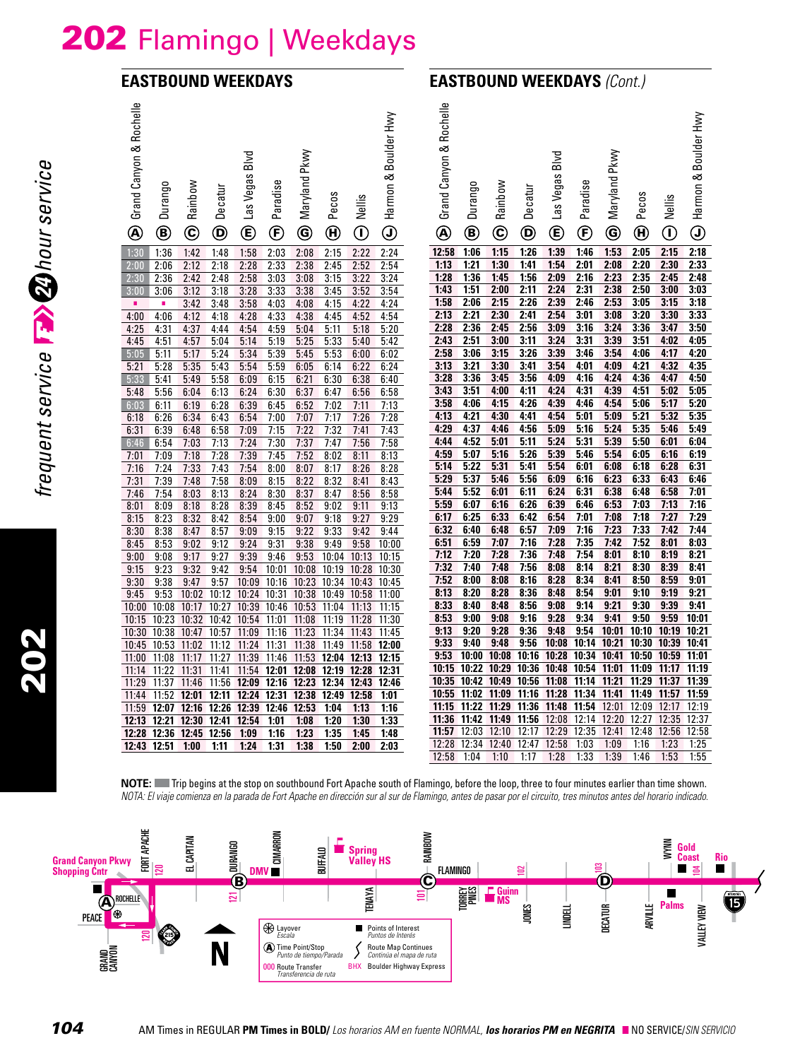# 202 Flamingo | Weekdays

#### **EASTBOUND WEEKDAYS**

## **EASTBOUND WEEKDAYS** *(Cont.)*

| Grand Canyon & Rochelle | Durango      | Rainbow               | Decatur                       | Blvd<br>Las Vegas | Paradise      | Pkwy<br>Maryland | Pecos                 | Nellis       | Harmon & Boulder Hwy | Grand Canyon & Rochelle | Durango        | Rainbow        | Decatur        | Blvd<br>Las Vegas    | Paradise       | Pkwy<br>Maryland | Pecos                 | Nellis                                        | Harmon & Boulder Hwy              |
|-------------------------|--------------|-----------------------|-------------------------------|-------------------|---------------|------------------|-----------------------|--------------|----------------------|-------------------------|----------------|----------------|----------------|----------------------|----------------|------------------|-----------------------|-----------------------------------------------|-----------------------------------|
| $^{\circledR}$          | ◉            | $\mathbf{\copyright}$ | $\bm{\mathsf{\Theta}}$        | $^\copyright$     | $^\copyright$ | ◉                | $\boldsymbol{\Theta}$ | $\mathbb O$  | $\mathbf \Theta$     | $^\circledR$            | ◉              | $\circledcirc$ | ◉              | $^{\circledR}$       | $^{\circledR}$ | ◉                | $\boldsymbol{\Theta}$ | $\hspace{0.5pt} \textcircled{\scriptsize{1}}$ | $_{\textcircled{\scriptsize{1}}}$ |
| 1:30                    | 1:36         | 1:42                  | 1:48                          | 1:58              | 2:03          | 2:08             | 2:15                  | 2:22         | 2:24                 | 12:58                   | 1:06           | 1:15           | 1:26           | 1:39                 | 1:46           | 1:53             | 2:05                  | 2:15                                          | 2:18                              |
| 2:00                    | 2:06         | 2:12                  | 2:18                          | 2:28              | 2:33          | 2:38             | 2:45                  | 2:52         | 2:54                 | 1:13                    | 1:21           | 1:30           | 1:41           | 1:54                 | 2:01           | 2:08             | 2:20                  | 2:30                                          | 2:33                              |
| 2:30                    | 2:36         | 2:42                  | 2:48                          | 2:58              | 3:03          | 3:08             | 3:15                  | 3:22         | 3:24                 | 1:28                    | 1:36           | 1:45           | 1:56           | 2:09<br>2:24         | 2:16           | 2:23             | 2:35                  | 2:45<br>3:00                                  | 2:48                              |
| 3:00<br>٠               | 3:06<br>a,   | 3:12<br>3:42          | 3:18<br>3:48                  | 3:28<br>3:58      | 3:33<br>4:03  | 3:38<br>4:08     | 3:45<br>4:15          | 3:52<br>4:22 | 3:54<br>4:24         | 1:43<br>1:58            | 1:51<br>2:06   | 2:00<br>2:15   | 2:11<br>2:26   | 2:39                 | 2:31<br>2:46   | 2:38<br>2:53     | 2:50<br>3:05          | 3:15                                          | 3:03<br>3:18                      |
| 4:00                    | 4:06         | 4:12                  | 4:18                          | 4:28              | 4:33          | 4:38             | 4:45                  | 4:52         | 4:54                 | 2:13                    | 2:21           | 2:30           | 2:41           | 2:54                 | 3:01           | 3:08             | 3:20                  | 3:30                                          | 3:33                              |
| 4:25                    | 4:31         | 4:37                  | 4:44                          | 4:54              | 4:59          | 5:04             | 5:11                  | 5:18         | 5:20                 | 2:28                    | 2:36           | 2:45           | 2:56           | 3:09                 | 3:16           | 3:24             | 3:36                  | 3:47                                          | 3:50                              |
| 4:45                    | 4:51         | 4:57                  | 5:04                          | 5:14              | 5:19          | 5:25             | 5:33                  | 5:40         | 5:42                 | 2:43                    | 2:51           | 3:00           | 3:11           | 3:24                 | 3:31           | 3:39             | 3:51                  | 4:02                                          | 4:05                              |
| 5:05                    | 5:11         | 5:17                  | 5:24                          | 5:34              | 5:39          | 5:45             | 5:53                  | 6:00         | 6:02                 | 2:58                    | 3:06           | 3:15           | 3:26           | 3:39                 | 3:46           | 3:54             | 4:06                  | 4:17                                          | 4:20                              |
| 5:21                    | 5:28         | 5:35                  | 5:43                          | 5:54              | 5:59          | 6:05             | 6:14                  | 6:22         | 6:24                 | 3:13                    | 3:21           | 3:30           | 3:41           | 3:54                 | 4:01           | 4:09             | 4:21                  | 4:32                                          | 4:35                              |
| 5:33                    | 5:41         | 5:49                  | 5:58                          | 6:09              | 6:15          | 6:21             | 6:30                  | 6:38         | 6:40                 | 3:28                    | 3:36           | 3:45           | 3:56           | 4:09                 | 4:16           | 4:24             | 4:36                  | 4:47                                          | 4:50                              |
| 5:48                    | 5:56         | 6:04                  | 6:13                          | 6:24              | 6:30          | 6:37             | 6:47                  | 6:56         | 6:58                 | 3:43                    | 3:51           | 4:00           | 4:11           | 4:24                 | 4:31           | 4:39             | 4:51                  | 5:02                                          | 5:05                              |
| 6:03                    | 6:11         | 6:19                  | 6:28                          | 6:39              | 6:45          | 6:52             | 7:02                  | 7:11         | 7:13                 | 3:58                    | 4:06           | 4:15           | 4:26           | 4:39                 | 4:46           | 4:54             | 5:06                  | 5:17                                          | 5:20                              |
| 6:18                    | 6:26         | 6:34                  | 6:43                          | 6:54              | 7:00          | 7:07             | 7:17                  | 7:26         | 7:28                 | 4:13                    | 4:21           | 4:30           | 4:41           | 4:54                 | 5:01           | 5:09             | 5:21                  | 5:32                                          | 5:35                              |
| 6:31                    | 6:39         | 6:48                  | 6:58                          | 7:09              | 7:15          | 7:22             | 7:32                  | 7:41         | 7:43                 | 4:29                    | 4:37           | 4:46           | 4:56           | 5:09                 | 5:16           | 5:24             | 5:35                  | 5:46                                          | 5:49                              |
| 6:46                    | 6:54         | 7:03                  | 7:13                          | 7:24              | 7:30          | 7:37             | 7:47                  | 7:56         | 7:58                 | 4:44                    | 4:52           | 5:01           | 5:11           | 5:24                 | 5:31           | 5:39             | 5:50                  | 6:01                                          | 6:04                              |
| 7:01                    | 7:09         | 7:18                  | 7:28                          | 7:39              | 7:45          | 7:52             | 8:02                  | 8:11         | 8:13                 | 4:59<br>5:14            | 5:07<br>5:22   | 5:16<br>5:31   | 5:26           | 5:39<br>5:54         | 5:46<br>6:01   | 5:54<br>6:08     | 6:05<br>6:18          | 6:16<br>6:28                                  | 6:19                              |
| 7:16                    | 7:24         | 7:33                  | 7:43                          | 7:54              | 8:00          | 8:07             | 8:17                  | 8:26         | 8:28                 | 5:29                    | 5:37           | 5:46           | 5:41<br>5:56   | 6:09                 | 6:16           | 6:23             | 6:33                  | 6:43                                          | 6:31<br>6:46                      |
| 7:31<br>7:46            | 7:39         | 7:48                  | 7:58                          | 8:09              | 8:15          | 8:22             | 8:32                  | 8:41         | 8:43                 | 5:44                    | 5:52           | 6:01           | 6:11           | 6:24                 | 6:31           | 6:38             | 6:48                  | 6:58                                          | 7:01                              |
| 8:01                    | 7:54<br>8:09 | 8:03<br>8:18          | 8:13<br>8:28                  | 8:24<br>8:39      | 8:30<br>8:45  | 8:37<br>8:52     | 8:47<br>9:02          | 8:56         | 8:58<br>9:13         | 5:59                    | 6:07           | 6:16           | 6:26           | 6:39                 | 6:46           | 6:53             | 7:03                  | 7:13                                          | 7:16                              |
| 8:15                    | 8:23         | 8:32                  | 8:42                          | 8:54              | 9:00          | 9:07             | 9:18                  | 9:11<br>9:27 | 9:29                 | 6:17                    | 6:25           | 6:33           | 6:42           | 6:54                 | 7:01           | 7:08             | 7:18                  | 7:27                                          | 7:29                              |
| 8:30                    | 8:38         | 8:47                  | 8:57                          | 9:09              | 9:15          | 9:22             | 9:33                  | 9:42         | 9:44                 | 6:32                    | 6:40           | 6:48           | 6:57           | 7:09                 | 7:16           | 7:23             | 7:33                  | 7:42                                          | 7:44                              |
| 8:45                    | 8:53         | 9:02                  | 9:12                          | 9:24              | 9:31          | 9:38             | 9:49                  | 9:58         | 10:00                | 6:51                    | 6:59           | 7:07           | 7:16           | 7:28                 | 7:35           | 7:42             | 7:52                  | 8:01                                          | 8:03                              |
| 9:00                    | 9:08         | 9:17                  | 9:27                          | 9:39              | 9:46          | 9:53             | 10:04                 | 10:13        | 10:15                | 7:12                    | 7:20           | 7:28           | 7:36           | 7:48                 | 7:54           | 8:01             | 8:10                  | 8:19                                          | 8:21                              |
| 9:15                    | 9:23         | 9:32                  | 9:42                          | 9:54              | 10:01         | 10:08            | 10:19                 | 10:28        | 10:30                | 7:32                    | 7:40           | 7:48           | 7:56           | 8:08                 | 8:14           | 8:21             | 8:30                  | 8:39                                          | 8:41                              |
| 9:30                    | 9:38         | 9:47                  | 9:57                          | 10:09             | 10:16         | 10:23            | 10:34                 | 10:43        | 10:45                | 7:52                    | 8:00           | 8:08           | 8:16           | 8:28                 | 8:34           | 8:41             | 8:50                  | 8:59                                          | 9:01                              |
| 9:45                    | 9:53         | 10:02                 | 10:12                         | 10:24             | 10:31         | 10:38            | 10:49                 | 10:58        | 11:00                | 8:13                    | 8:20           | 8:28           | 8:36           | 8:48                 | 8:54           | 9:01             | 9:10                  | 9:19                                          | 9:21                              |
| 10:00                   | 10:08        | 10:17                 | 10:27                         | 10:39             | 10:46         | 10:53            | 11:04                 | 11:13        | 11:15                | 8:33                    | 8:40           | 8:48           | 8:56           | 9:08                 | 9:14           | 9:21             | 9:30                  | 9:39                                          | 9:41                              |
| 10:15                   | 10:23        | 10:32 10:42           |                               | 10:54             | 11:01         | 11:08            | 11:19                 | 11:28        | 11:30                | 8:53                    | 9:00           | 9:08           | 9:16           | 9:28                 | 9:34           | 9:41             | 9:50                  | 9:59                                          | 10:01                             |
| 10:30                   | 10:38        | 10:47                 | 10:57                         | 11:09             | 11:16         | 11:23            | 11:34                 | 11:43        | 11:45                | 9:13                    | 9:20           | 9:28           | 9:36           | 9:48                 | 9:54           | 10:01            | 10:10                 | 10:19                                         | 10:21                             |
| 10:45                   | 10:53        | 11:02                 | 11:12                         | 11:24             | 11:31         | 11:38 11:49      |                       |              | 11:58 12:00          | 9:33                    | 9:40           | 9:48           | 9:56           | 10:08                | 10:14          | 10:21            | 10:30                 | 10:39                                         | 10:41                             |
| 11:00                   | 11:08        | 11:17                 | 11:27                         | 11:39             | 11:46         | 11:53            | 12:04                 | 12:13        | 12:15                | 9:53                    | 10:00          | 10:08          | 10:16          | 10:28 10:34          |                |                  | 10:41 10:50 10:59     |                                               | 11:01                             |
| 11:14                   | 11:22        | 11:31                 | 11:41                         | 11:54             | 12:01         | 12:08            | 12:19                 | 12:28        | 12:31                | 10:15 10:22             |                | 10:29          | 10:36          | 10:48 10:54          |                | 11:01            | 11:09 11:17           |                                               | 11:19                             |
| 11:29                   | 11:37        | 11:46                 | 11:56                         | 12:09 12:16       |               | 12:23            | 12:34 12:43           |              | 12:46                | 10:35                   | 10:42          | 10:49          | 10:56          | 11:08 11:14          |                | 11:21<br>11:41   | 11:29                 | 11:37<br>11:57                                | 11:39                             |
| 11:44                   | 11:52        | 12:01                 | 12:11                         | 12:24 12:31       |               | 12:38            | 12:49                 | 12:58        | 1:01                 | 10:55<br>11:15          | 11:02<br>11:22 | 11:09<br>11:29 | 11:16<br>11:36 | 11:28 11:34<br>11:48 | 11:54          | 12:01            | 11:49<br>12:09        | 12:17                                         | 11:59<br>12:19                    |
| 11:59<br>12:13          | 12:21        | 12:30 12:41           | 12:07 12:16 12:26 12:39 12:46 | 12:54             | 1:01          | 12:53<br>1:08    | 1:04<br>1:20          | 1:13<br>1:30 | 1:16<br>1:33         | 11:36                   | 11:42          | 11:49          | 11:56          | 12:08                | 12:14          | 12:20            | 12:27                 | 12:35                                         | 12:37                             |
| 12:28                   |              | 12:36 12:45 12:56     |                               | 1:09              | 1:16          | 1:23             | 1:35                  | 1:45         | 1:48                 | 11:57                   | 12:03          | 12:10          | 12:17          | 12:29                | 12:35          | 12:41            | 12:48                 | 12:56                                         | 12:58                             |
|                         | 12:43 12:51  | 1:00                  | 1:11                          | 1:24              | 1:31          | 1:38             | 1:50                  | 2:00         | 2:03                 | 12:28                   | 12:34          | 12:40          | 12:47          | 12:58                | 1:03           | 1:09             | 1:16                  | 1:23                                          | 1:25                              |
|                         |              |                       |                               |                   |               |                  |                       |              |                      | 12:58                   | 1:04           | 1:10           | 1:17           | 1:28                 | 1:33           | 1:39             | 1:46                  | 1:53                                          | 1:55                              |
|                         |              |                       |                               |                   |               |                  |                       |              |                      |                         |                |                |                |                      |                |                  |                       |                                               |                                   |

**NOTE:** Trip begins at the stop on southbound Fort Apache south of Flamingo, before the loop, three to four minutes earlier than time shown. *NOTA: El viaje comienza en la parada de Fort Apache en dirección sur al sur de Flamingo, antes de pasar por el circuito, tres minutos antes del horario indicado.*



frequent service **13 20** hour service *24 hour service frequent service*

202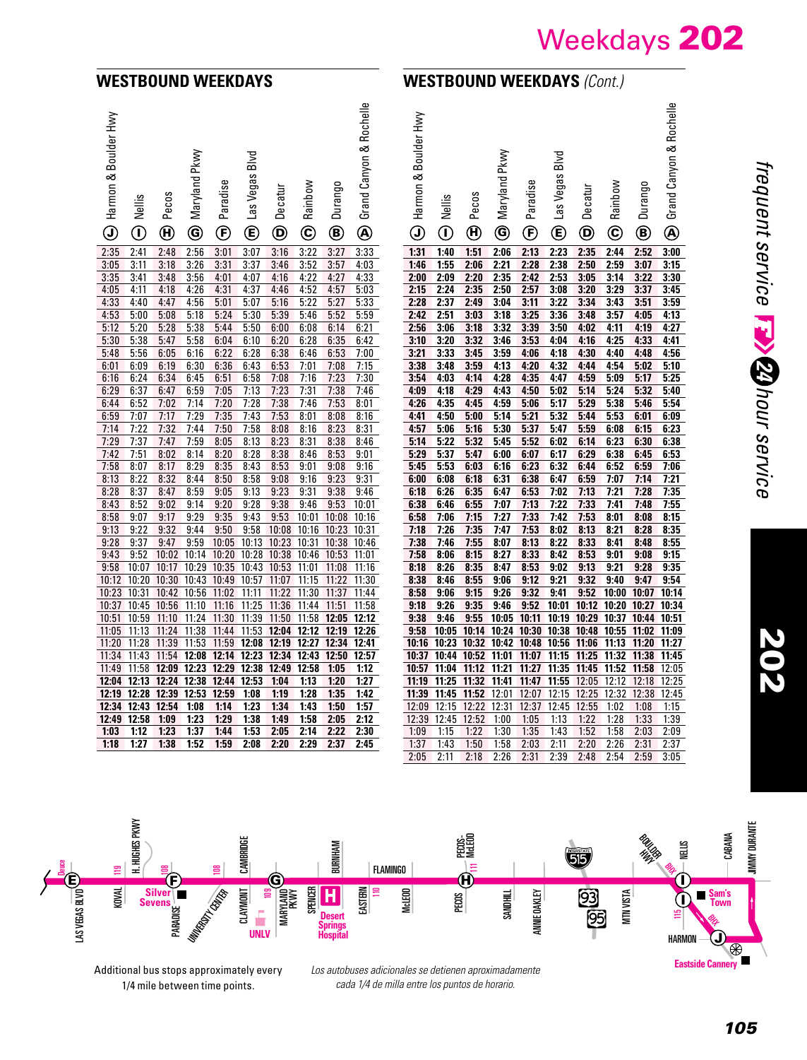#### **WESTBOUND WEEKDAYS**

## **WESTBOUND WEEKDAYS** *(Cont.)*

| Harmon & Boulder Hwy | Nellis        | Pecos                      | Pkwy<br>Maryland | Paradise                | <b>Blvd</b><br>Las Vegas | Decatur                       | Rainbow                | Durango           | Grand Canyon & Rochelle | Harmon & Boulder Hwy                        | Nellis                            | Pecos                                | Pkwy<br>Maryland | Paradise       | Blvd<br>Las Vegas             | Decatur                 | Rainbow        | Durango        | Grand Canyon & Rochelle |
|----------------------|---------------|----------------------------|------------------|-------------------------|--------------------------|-------------------------------|------------------------|-------------------|-------------------------|---------------------------------------------|-----------------------------------|--------------------------------------|------------------|----------------|-------------------------------|-------------------------|----------------|----------------|-------------------------|
| $\mathbb G$          | $^\copyright$ | $\boldsymbol{\Theta}$      | $\circledcirc$   | $^\circled{\textbf{f}}$ | $^{\circledR}$           | $\bm{\mathsf{\Theta}}$        | $\mathbf{\widehat{c}}$ | ◉                 | ◉                       | $\mathbb{G}% _{M_{1},M_{2}}^{\alpha,\beta}$ | $\hspace{0.5pt}$ $\hspace{0.5pt}$ | $\boldsymbol{\textcircled{\text{}}}$ | ◉                | ⊕              | ⋐                             | $^\copyright$           | $^\copyright$  | ®              | $^{\circledR}$          |
| 2:35                 | 2:41          | 2:48                       | 2:56             | 3:01                    | 3:07                     | 3:16                          | 3:22                   | 3:27              | 3:33                    | 1:31                                        | 1:40                              | 1:51                                 | 2:06             | 2:13           | 2:23                          | 2:35                    | 2:44           | 2:52           | 3:00                    |
| 3:05                 | 3:11          | 3:18                       | 3:26             | 3:31                    | 3:37                     | 3:46                          | 3:52                   | 3:57              | 4:03                    | 1:46                                        | 1:55                              | 2:06                                 | 2:21             | 2:28           | 2:38                          | 2:50                    | 2.59           | 3:07           | 3:15                    |
| 3:35                 | 3:41          | 3:48                       | 3:56             | 4:01                    | 4:07                     | 4:16                          | 4:22                   | 4:27              | 4:33                    | 2:00                                        | 2:09                              | 2:20                                 | 2:35             | 2:42           | 2:53                          | 3:05                    | 3:14           | 3:22           | 3:30                    |
| 4:05                 | 4:11          | 4:18                       | 4:26             | 4:31                    | 4:37                     | 4:46                          | 4:52                   | 4:57              | 5:03                    | 2:15                                        | 2:24                              | 2:35                                 | 2:50             | 2:57           | 3:08                          | 3:20                    | 3:29           | 3:37           | 3:45                    |
| 4:33                 | 4:40          | 4:47                       | 4:56             | 5:01                    | 5:07                     | 5:16                          | 5:22                   | 5:27              | 5:33                    | 2:28                                        | 2:37                              | 2:49                                 | 3:04             | 3:11           | 3:22                          | 3:34                    | 3:43           | 3:51           | 3:59                    |
| 4:53                 | 5:00          | 5:08                       | 5:18             | 5:24                    | 5:30                     | 5:39                          | 5:46                   | 5:52              | 5:59                    | 2:42                                        | 2:51                              | 3:03                                 | 3:18             | 3:25           | 3:36                          | 3:48                    | 3:57           | 4:05           | 4:13                    |
| 5:12                 | 5:20          | 5:28                       | 5:38             | 5:44                    | 5:50                     | 6:00                          | 6:08                   | 6:14              | 6:21                    | 2:56<br>3:10                                | 3:06<br>3:20                      | 3:18                                 | 3:32<br>3:46     | 3:39           | 3:50                          | 4:02                    | 4:11           | 4:19<br>4:33   | 4:27<br>4:41            |
| 5:30<br>5:48         | 5:38<br>5:56  | 5:47<br>6:05               | 5:58<br>6:16     | 6:04<br>6:22            | 6:10<br>6:28             | 6:20<br>6:38                  | 6:28<br>6:46           | 6:35<br>6:53      | 6:42<br>7:00            | 3:21                                        | 3:33                              | 3:32<br>3:45                         | 3:59             | 3:53<br>4:06   | 4:04<br>4:18                  | 4:16<br>4:30            | 4:25<br>4:40   | 4:48           | 4:56                    |
| 6:01                 | 6:09          | 6:19                       | 6:30             | 6:36                    | 6:43                     | 6:53                          | 7:01                   | 7:08              | 7:15                    | 3:38                                        | 3:48                              | 3:59                                 | 4:13             | 4:20           | 4:32                          | 4:44                    | 4:54           | 5:02           | 5:10                    |
| 6:16                 | 6:24          | 6:34                       | 6:45             | 6:51                    | 6:58                     | 7:08                          | 7:16                   | 7:23              | 7:30                    | 3:54                                        | 4:03                              | 4:14                                 | 4:28             | 4:35           | 4:47                          | 4:59                    | 5:09           | 5:17           | 5:25                    |
| 6:29                 | 6:37          | 6:47                       | 6:59             | 7:05                    | 7:13                     | 7:23                          | 7:31                   | 7:38              | 7:46                    | 4:09                                        | 4:18                              | 4:29                                 | 4:43             | 4:50           | 5:02                          | 5:14                    | 5:24           | 5:32           | 5:40                    |
| 6:44                 | 6:52          | 7:02                       | 7:14             | 7:20                    | 7:28                     | 7:38                          | 7:46                   | 7:53              | 8:01                    | 4:26                                        | 4:35                              | 4:45                                 | 4:59             | 5:06           | 5:17                          | 5:29                    | 5:38           | 5:46           | 5:54                    |
| 6:59                 | 7:07          | 7:17                       | 7:29             | 7:35                    | 7:43                     | 7:53                          | 8:01                   | 8:08              | 8:16                    | 4:41                                        | 4:50                              | 5:00                                 | 5:14             | 5:21           | 5:32                          | 5:44                    | 5:53           | 6:01           | 6:09                    |
| 7:14                 | 7:22          | 7:32                       | 7:44             | 7:50                    | 7:58                     | 8:08                          | 8:16                   | 8:23              | 8:31                    | 4:57                                        | 5:06                              | 5:16                                 | 5:30             | 5:37           | 5:47                          | 5:59                    | 6:08           | 6:15           | 6:23                    |
| 7:29                 | 7:37          | 7:47                       | 7:59             | 8:05                    | 8:13                     | 8:23                          | 8:31                   | 8:38              | 8:46                    | 5:14                                        | 5:22                              | 5:32                                 | 5:45             | 5:52           | 6:02                          | 6:14                    | 6:23           | 6:30           | 6:38                    |
| 7:42                 | 7:51          | 8:02                       | 8:14             | 8:20                    | 8:28                     | 8:38                          | 8:46                   | 8:53              | 9:01                    | 5:29                                        | 5:37                              | 5:47                                 | 6:00             | 6:07           | 6:17                          | 6:29                    | 6:38           | 6:45           | 6:53                    |
| 7:58                 | 8:07          | 8:17                       | 8:29             | 8:35                    | 8:43                     | 8:53                          | 9:01                   | 9:08              | 9:16                    | 5:45                                        | 5:53                              | 6:03                                 | 6:16             | 6:23           | 6:32                          | 6:44                    | 6:52           | 6:59           | 7:06                    |
| 8:13                 | 8:22          | 8:32                       | 8:44             | 8:50                    | 8:58                     | 9:08                          | 9:16                   | 9:23              | 9:31                    | 6:00                                        | 6:08                              | 6:18                                 | 6:31             | 6:38           | 6:47                          | 6:59                    | 7:07           | 7:14           | 7:21                    |
| 8:28                 | 8:37          | 8:47                       | 8:59             | 9:05                    | 9:13                     | 9:23                          | 9:31                   | 9:38              | 9:46                    | 6:18                                        | 6:26                              | 6:35                                 | 6:47             | 6:53           | 7:02                          | 7:13                    | 7:21           | 7:28           | 7:35                    |
| 8:43                 | 8:52          | 9:02                       | 9:14             | 9:20                    | 9:28                     | 9:38                          | 9:46                   | 9:53              | 10:01                   | 6:38                                        | 6:46                              | 6:55                                 | 7:07             | 7:13           | 7:22                          | 7:33                    | 7:41           | 7:48           | 7:55                    |
| 8:58                 | 9:07          | 9:17                       | 9:29             | 9:35                    | 9:43                     | 9:53                          | 10:01                  | 10:08             | 10:16                   | 6:58                                        | 7:06                              | 7:15                                 | 7:27             | 7:33           | 7:42                          | 7:53                    | 8:01           | 8:08           | 8:15                    |
| 9:13                 | 9:22          | 9:32                       | 9:44             | 9:50                    | 9:58                     | 10:08                         | 10:16                  | 10:23 10:31       |                         | 7:18                                        | 7:26                              | 7:35                                 | 7:47             | 7:53           | 8:02                          | 8:13                    | 8:21           | 8:28           | 8:35                    |
| 9:28                 | 9:37          | 9:47                       | 9:59             | 10:05                   | 10:13                    | 10:23                         | 10:31                  | 10:38             | 10:46                   | 7:38                                        | 7:46                              | 7:55                                 | 8:07             | 8:13           | 8:22                          | 8:33                    | 8:41           | 8:48           | 8:55                    |
| 9:43                 | 9:52          | 10:02                      | 10:14            | 10:20                   | 10:28                    | 10:38 10:46                   |                        | 10:53             | 11:01                   | 7:58                                        | 8:06                              | 8:15                                 | 8:27             | 8:33           | 8:42                          | 8:53                    | 9:01           | 9:08           | 9:15                    |
| 9:58                 | 10:07         | 10:17                      | 10:29            | 10:35                   | 10:43                    | 10:53 11:01                   |                        | 11:08             | 11:16                   | 8:18                                        | 8:26                              | 8:35                                 | 8:47             | 8:53           | 9:02                          | 9:13                    | 9:21           | 9:28           | 9:35                    |
| 10:12                | 10:20         | 10:30                      | 10:43            | 10:49                   | 10:57                    | 11:07                         | 11:15                  | 11:22             | 11:30                   | 8:38                                        | 8:46                              | 8:55                                 | 9:06             | 9:12           | 9:21                          | 9:32                    | 9:40           | 9:47           | 9:54                    |
| 10:23                | 10:31         | 10:42                      | 10:56            | 11:02                   | 11:11                    | 11:22                         | 11:30                  | 11:37             | 11:44                   | 8:58                                        | 9:06                              | 9:15                                 | 9:26             | 9:32           | 9:41                          | 9:52                    |                | 10:00 10:07    | 10:14                   |
| 10:37                | 10:45         | 10:56                      | 11:10            | 11:16                   | 11:25                    | 11:36                         | 11:44                  | 11:51             | 11:58                   | 9:18                                        | 9:26                              | 9:35                                 | 9:46             | 9:52           | 10:01                         | 10:12                   | 10:20          | 10:27          | 10:34                   |
| 10:51                | 10:59         | 11:10                      | 11:24            | 11:30                   |                          | 11:39 11:50                   |                        | 11:58 12:05 12:12 |                         | 9:38                                        | 9:46                              | 9:55                                 | 10:05            | 10:11          |                               | 10:19 10:29 10:37 10:44 |                |                | 10:51                   |
| 11:05                | 11:13         | 11:24                      | 11:38            | 11:44                   | 11:53                    |                               | 12:04 12:12 12:19      |                   | 12:26                   | 9:58                                        | 10:05                             | 10:14                                | 10:24            |                | 10:30 10:38 10:48             |                         | 10:55          | 11:02          | 11:09                   |
| 11:20                |               | 11:28 11:39                | 11:53            | 11:59                   |                          | 12:08 12:19 12:27 12:34 12:41 |                        |                   |                         | 10:16                                       | 10:23                             |                                      |                  |                | 10:32 10:42 10:48 10:56 11:06 |                         | 11:13 11:20    |                | 11:27                   |
| 11:34                | 11:43         | 11:54                      | 12:08            | 12:14                   | 12:23                    | 12:34 12:43 12:50 12:57       |                        |                   |                         | 10:37                                       | 10:44                             |                                      | 10:52 11:01      | 11:07          | 11:15 11:25                   |                         | 11:32 11:38    |                | 11:45                   |
| 11:49<br>12:04       |               | 11:58 12:09 12:23          |                  | 12:29                   | 12:38                    | 12:49                         | 12:58                  | 1:05              | 1:12                    | 10:57                                       | 11:04                             | 11:12<br>11:32                       | 11:21            | 11:27          | 11:35                         | 11:45                   | 11:52          | 11:58          | 12:05                   |
| 12:19                |               | 12:13 12:24<br>12:28 12:39 | 12:38<br>12:53   | 12:44<br>12:59          | 12:53<br>1:08            | 1:04<br>1:19                  | 1:13<br>1:28           | 1:20<br>1:35      | 1:27<br>1:42            | 11:19<br>11:39                              | 11:25<br>11:45                    | 11:52                                | 11:41<br>12:01   | 11:47<br>12:07 | 11:55<br>12:15                | 12:05<br>12:25          | 12:12<br>12:32 | 12:18<br>12:38 | 12:25<br>12:45          |
| 12:34                |               | 12:43 12:54                | 1:08             | 1:14                    | 1:23                     | 1:34                          | 1:43                   | 1:50              | 1:57                    | 12:09                                       | 12:15                             | 12:22                                | 12:31            | 12:37          |                               | 12:45 12:55             | 1:02           | 1:08           | 1:15                    |
| 12:49                | 12:58         | 1:09                       | 1:23             | 1:29                    | 1:38                     | 1:49                          | 1:58                   | 2:05              | 2:12                    | 12:39                                       | 12:45                             | 12:52                                | 1:00             | 1:05           | 1:13                          | 1:22                    | 1:28           | 1:33           | 1:39                    |
| 1:03                 | 1:12          | 1:23                       | 1:37             | 1:44                    | 1:53                     | 2:05                          | 2:14                   | 2:22              | 2:30                    | 1:09                                        | 1:15                              | 1:22                                 | 1:30             | 1:35           | 1:43                          | 1:52                    | 1:58           | 2:03           | 2:09                    |
| 1:18                 | 1:27          | 1:38                       | 1:52             | 1:59                    | 2:08                     | 2:20                          | 2:29                   | 2:37              | 2:45                    | 1:37                                        | 1:43                              | 1:50                                 | 1:58             | 2:03           | 2:11                          | 2:20                    | 2:26           | 2:31           | 2:37                    |
|                      |               |                            |                  |                         |                          |                               |                        |                   |                         | 2:05                                        | 2:11                              | 2:18                                 | 2:26             | 2:31           | 2:39                          | 2:48                    | 2:54           | 2:59           | 3:05                    |

202

 $\frac{119}{11}$  H. Hughes provy H. HUGHES PKWY **IIMMY DURANTE** JIMMY DURANTE CABANA eg<br>Mu B<sub>OUL</sub>DER<br>HWYD CAMBRIDGE BURNHAM NELLIS FLAMINGO Ug LAS VEGAS BLVD ≣  $\mathbf 0$  $\mathfrak{E}% _{T}$ E) www.ipadani (F) www.ipadani of Grand Angles in share has a fact that the share for a fact of  $\mathbf C$ UNIVERSITY CENTER KOVAL SPENCER CLAYMONT EASTERN McLEOD SAND<u>HILL</u> MTN VISTA **Silver Sevens**  $\mathbf{\Xi}$  $\Xi$ PECOS LAS VEGAS BLVD MARYLAND PKWY ANNIE OAKLEY **Sam's Town** I **UNLV** PARADISE **Desert**  ≌ CH<br>P **Springs Hospital** HARMON J  $\overline{\circledast}$ 

Additional bus stops approximately every 1/4 mile between time points.

*Los autobuses adicionales se detienen aproximadamente cada 1/4 de milla entre los puntos de horario.*

**Eastside Cannery**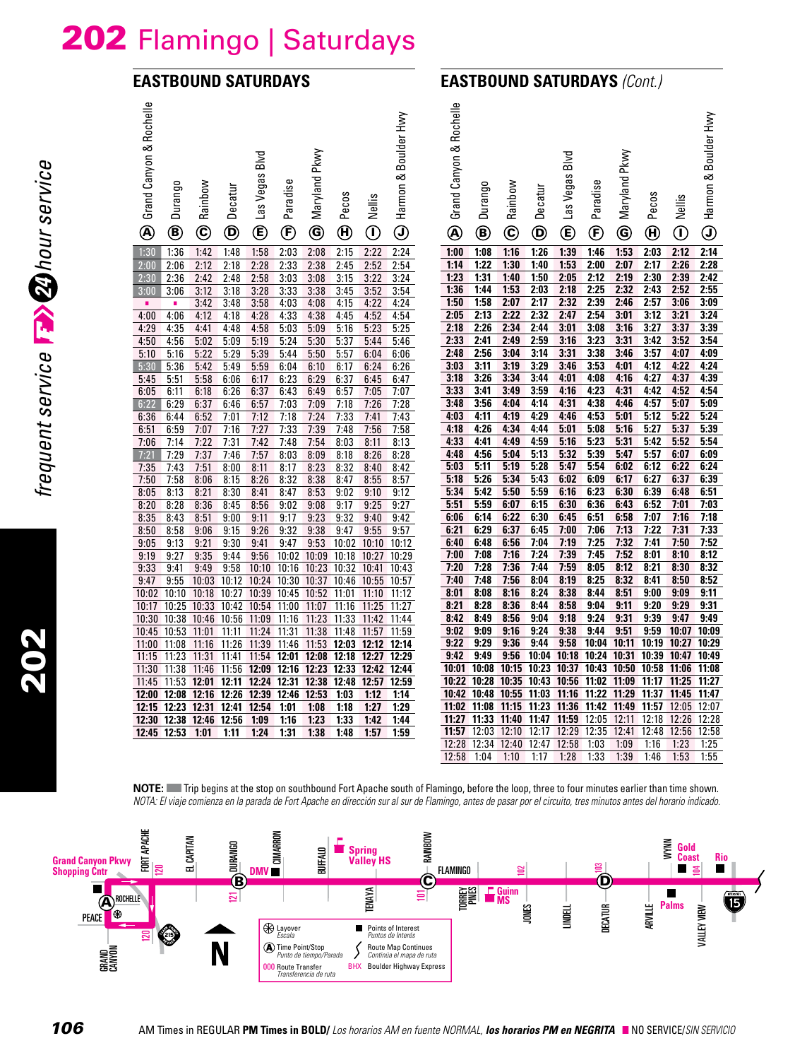## 202 Flamingo | Saturdays

## **EASTBOUND SATURDAYS**



| Grand Canyon & Rochelle<br>$^\circledR$ | Durango<br>◉         | Rainbow<br>$\copyright$ | Decatur<br>$^\copyright$ | Blvd<br>Las Vegas<br>$^{\copyright}$ | Paradise<br>$^{\circledR}$ | Maryland Pkwy<br>$\circledast$      | Pecos<br>$\boldsymbol{\Theta}$ | Nellis<br>$\hspace{0.5pt} \textcircled{\scriptsize{1}}$ | Boulder Hwy<br>∞<br>Harmon<br>$\textcircled{\scriptsize{1}}$ | Grand Canyon & Rochelle<br>◉ | Durango<br>◉   | Rainbow<br>$\mathbf{\widehat{c}}$ | Decatur<br>$\bm{\mathsf{\Theta}}$      | <b>Blvd</b><br>Las Vegas<br>$^{\circledR}$ | Paradise<br>$^\copyright$ | Pkwy<br>Maryland<br>◉ | Pecos<br>$\boldsymbol{\Theta}$   | Nellis<br>$\hspace{0.5pt}$ $\hspace{0.5pt}$ | Harmon & Boulder Hwy<br>$\bigcirc$ |
|-----------------------------------------|----------------------|-------------------------|--------------------------|--------------------------------------|----------------------------|-------------------------------------|--------------------------------|---------------------------------------------------------|--------------------------------------------------------------|------------------------------|----------------|-----------------------------------|----------------------------------------|--------------------------------------------|---------------------------|-----------------------|----------------------------------|---------------------------------------------|------------------------------------|
| 1:30                                    | 1:36                 | 1:42                    | 1:48                     | 1:58                                 | 2:03                       | 2:08                                | 2:15                           | 2:22                                                    | 2:24                                                         | 1:00                         | 1:08           | 1:16                              | 1:26                                   | 1:39                                       | 1:46                      | 1:53                  | 2:03                             | 2:12                                        | 2:14                               |
| 2:00                                    | 2:06                 | 2:12                    | 2:18                     | 2:28                                 | 2:33                       | 2:38                                | 2:45                           | 2:52                                                    | 2:54                                                         | 1:14                         | 1:22           | 1:30                              | 1:40                                   | 1:53                                       | 2:00                      | 2:07                  | 2:17                             | 2:26                                        | 2:28                               |
| 2:30                                    | 2:36                 | 2:42                    | 2:48                     | 2:58                                 | 3:03                       | 3:08                                | 3:15                           | 3:22                                                    | 3:24                                                         | 1:23                         | 1:31           | 1:40                              | 1:50                                   | 2:05                                       | 2:12                      | 2:19                  | 2:30                             | 2:39                                        | 2:42                               |
| 3:00                                    | 3:06                 | 3:12                    | 3:18                     | 3:28                                 | 3:33                       | 3:38                                | 3:45                           | 3:52                                                    | 3:54                                                         | 1:36                         | 1:44           | 1:53                              | 2:03                                   | 2:18                                       | 2:25                      | 2:32                  | 2:43                             | 2:52                                        | 2:55                               |
| ×                                       | ×                    | 3:42                    | 3:48                     | 3:58                                 | 4:03                       | 4:08                                | 4:15                           | 4:22                                                    | 4:24                                                         | 1:50                         | 1:58           | 2:07                              | 2:17                                   | 2:32                                       | 2:39                      | 2:46                  | 2:57                             | 3:06                                        | 3:09                               |
| 4:00                                    | 4:06                 | 4:12                    | 4:18                     | 4:28                                 | 4:33                       | 4:38                                | 4:45                           | 4:52                                                    | 4:54                                                         | 2:05                         | 2:13           | 2:22                              | 2:32                                   | 2:47                                       | 2:54                      | 3:01                  | 3:12                             | 3:21                                        | 3:24                               |
| 4:29                                    | 4:35                 | 4:41                    | 4:48                     | 4:58                                 | 5:03                       | 5:09                                | 5:16                           | 5:23                                                    | 5:25                                                         | 2:18                         | 2:26           | 2:34                              | 2:44                                   | 3:01                                       | 3:08                      | 3:16                  | 3:27                             | 3:37                                        | 3:39                               |
| 4:50                                    | 4:56                 | 5:02                    | 5:09                     | 5:19                                 | 5:24                       | 5:30                                | 5:37                           | 5:44                                                    | 5:46                                                         | 2:33                         | 2:41           | 2:49                              | 2:59                                   | 3:16                                       | 3:23                      | 3:31                  | 3:42                             | 3:52                                        | 3:54                               |
| 5:10                                    | 5:16                 | 5:22                    | 5:29                     | 5:39                                 | 5:44                       | 5:50                                | 5:57                           | 6:04                                                    | 6:06                                                         | 2:48                         | 2:56           | 3:04                              | 3:14                                   | 3:31                                       | 3:38                      | 3:46                  | 3:57                             | 4:07                                        | 4:09                               |
| 5:30                                    | 5:36                 | 5:42                    | 5:49                     | 5:59                                 | 6:04                       | 6:10                                | 6:17                           | 6:24                                                    | 6:26                                                         | 3:03                         | 3:11           | 3:19                              | 3:29                                   | 3:46                                       | 3:53                      | 4:01                  | 4:12                             | 4:22                                        | 4:24                               |
| 5:45                                    | 5:51                 | 5:58                    | 6:06                     | 6:17                                 | 6:23                       | 6:29                                | 6:37                           | 6:45                                                    | 6:47                                                         | 3:18<br>3:33                 | 3:26<br>3:41   | 3:34<br>3:49                      | 3:44<br>3:59                           | 4:01                                       | 4:08<br>4:23              | 4:16<br>4:31          | 4:27                             | 4:37<br>4:52                                | 4:39<br>4:54                       |
| 6:05                                    | 6:11                 | 6:18                    | 6:26                     | 6:37                                 | 6:43                       | 6:49                                | 6:57                           | 7:05                                                    | 7:07                                                         | 3:48                         | 3:56           | 4:04                              | 4:14                                   | 4:16<br>4:31                               | 4:38                      | 4:46                  | 4:42<br>4:57                     | 5:07                                        | 5:09                               |
| 6:22                                    | 6:29                 | 6:37                    | 6:46                     | 6:57                                 | 7:03                       | 7:09                                | 7:18                           | 7:26                                                    | 7:28                                                         | 4:03                         | 4:11           | 4:19                              | 4:29                                   | 4:46                                       | 4:53                      | 5:01                  | 5:12                             | 5:22                                        | 5:24                               |
| 6:36<br>6:51                            | 6:44<br>6:59         | 6:52<br>7:07            | 7:01<br>7:16             | 7:12<br>7:27                         | 7:18<br>7:33               | 7:24<br>7:39                        | 7:33<br>7:48                   | 7:41<br>7:56                                            | 7:43<br>7:58                                                 | 4:18                         | 4:26           | 4:34                              | 4:44                                   | 5:01                                       | 5:08                      | 5:16                  | 5:27                             | 5:37                                        | 5:39                               |
| 7:06                                    | 7:14                 | 7:22                    | 7:31                     | 7:42                                 | 7:48                       | 7:54                                | 8:03                           | 8:11                                                    | 8:13                                                         | 4:33                         | 4:41           | 4:49                              | 4:59                                   | 5:16                                       | 5:23                      | 5:31                  | 5:42                             | 5:52                                        | 5:54                               |
| 7:21                                    | 7:29                 | 7:37                    | 7:46                     | 7:57                                 | 8:03                       | 8:09                                | 8:18                           | 8:26                                                    | 8:28                                                         | 4:48                         | 4:56           | 5:04                              | 5:13                                   | 5:32                                       | 5:39                      | 5:47                  | 5:57                             | 6:07                                        | 6:09                               |
| 7:35                                    | 7:43                 | 7:51                    | 8:00                     | 8:11                                 | 8:17                       | 8:23                                | 8:32                           | 8:40                                                    | 8:42                                                         | 5:03                         | 5:11           | 5:19                              | 5:28                                   | 5:47                                       | 5:54                      | 6:02                  | 6:12                             | 6:22                                        | 6:24                               |
| 7:50                                    | 7:58                 | 8:06                    | 8:15                     | 8:26                                 | 8:32                       | 8:38                                | 8:47                           | 8:55                                                    | 8:57                                                         | 5:18                         | 5:26           | 5:34                              | 5:43                                   | 6:02                                       | 6:09                      | 6:17                  | 6:27                             | 6:37                                        | 6:39                               |
| 8:05                                    | 8:13                 | 8:21                    | 8:30                     | 8:41                                 | 8:47                       | 8:53                                | 9:02                           | 9:10                                                    | 9:12                                                         | 5:34                         | 5:42           | 5:50                              | 5:59                                   | 6:16                                       | 6:23                      | 6:30                  | 6:39                             | 6:48                                        | 6:51                               |
| 8:20                                    | 8:28                 | 8:36                    | 8:45                     | 8:56                                 | 9:02                       | 9:08                                | 9:17                           | 9:25                                                    | 9:27                                                         | 5:51                         | 5:59           | 6:07                              | 6:15                                   | 6:30                                       | 6:36                      | 6:43                  | 6:52                             | 7:01                                        | 7:03                               |
| 8:35                                    | 8:43                 | 8:51                    | 9:00                     | 9:11                                 | 9:17                       | 9:23                                | 9:32                           | 9:40                                                    | 9:42                                                         | 6:06                         | 6:14           | 6:22                              | 6:30                                   | 6:45                                       | 6:51                      | 6:58                  | 7:07                             | 7:16                                        | 7:18                               |
| 8:50                                    | 8:58                 | 9:06                    | 9:15                     | 9:26                                 | 9:32                       | 9:38                                | 9:47                           | 9:55                                                    | 9:57                                                         | 6:21                         | 6:29           | 6:37                              | 6:45                                   | 7:00                                       | 7:06                      | 7:13                  | 7:22                             | 7:31                                        | 7:33                               |
| 9:05                                    | 9:13                 | 9:21                    | 9:30                     | 9:41                                 | 9:47                       | 9:53                                | 10:02                          | 10:10                                                   | 10:12                                                        | 6:40                         | 6:48           | 6:56                              | 7:04                                   | 7:19                                       | 7:25                      | 7:32                  | 7:41                             | 7:50                                        | 7:52                               |
| 9:19                                    | 9:27                 | 9:35                    | 9:44                     | 9:56                                 |                            | 10:02 10:09 10:18                   |                                | 10:27                                                   | 10:29                                                        | 7:00                         | 7:08           | 7:16                              | 7:24                                   | 7:39                                       | 7:45                      | 7:52                  | 8:01                             | 8:10                                        | 8:12                               |
| 9:33                                    | 9:41                 | 9:49                    | 9:58                     | 10:10                                | 10:16                      | 10:23 10:32                         |                                | 10:41                                                   | 10:43                                                        | 7:20                         | 7:28           | 7:36                              | 7:44                                   | 7:59                                       | 8:05                      | 8:12                  | 8:21                             | 8:30                                        | 8:32                               |
| 9:47                                    | 9:55                 | 10:03                   | 10:12                    |                                      |                            | 10:24 10:30 10:37 10:46 10:55       |                                |                                                         | 10:57                                                        | 7:40                         | 7:48           | 7:56                              | 8:04                                   | 8:19                                       | 8:25                      | 8:32                  | 8:41                             | 8:50                                        | 8:52                               |
| 10:02                                   | 10:10                | 10:18                   | 10:27                    | 10:39                                | 10:45                      | 10:52 11:01                         |                                | 11:10                                                   | 11:12                                                        | 8:01                         | 8:08           | 8:16                              | 8:24                                   | 8:38                                       | 8:44                      | 8:51                  | 9:00                             | 9:09                                        | 9:11                               |
| 10:17                                   | 10:25 10:33          |                         | 10:42                    | 10:54 11:00                          |                            | 11:07                               | 11:16                          | 11:25                                                   | 11:27                                                        | 8:21                         | 8:28           | 8:36                              | 8:44                                   | 8:58                                       | 9:04                      | 9:11                  | 9:20                             | 9:29                                        | 9:31                               |
| 10:30                                   | 10:38                | 10:46                   | 10:56                    | 11:09                                | 11:16                      | 11:23                               | 11:33                          | 11:42                                                   | 11:44                                                        | 8:42                         | 8:49           | 8:56                              | 9:04                                   | 9:18                                       | 9:24                      | 9:31                  | 9:39                             | 9:47                                        | 9:49                               |
| 10:45                                   | 10:53                | 11:01                   | 11:11                    | 11:24                                | 11:31                      | 11:38                               | 11:48                          | 11:57                                                   | 11:59                                                        | 9:02                         | 9:09           | 9:16                              | 9:24                                   | 9:38                                       | 9:44                      | 9:51                  | 9:59                             | 10:07                                       | 10:09                              |
| 11:00                                   | 11:08                | 11:16                   | 11:26                    | 11:39                                |                            | 11:46 11:53 12:03 12:12             |                                |                                                         | 12:14                                                        | 9:22                         | 9:29           | 9:36                              | 9:44                                   | 9:58                                       | 10:04                     | 10:11                 |                                  | 10:19 10:27                                 | 10:29                              |
| 11:15                                   | 11:23                | 11:31                   | 11:41                    |                                      |                            | 11:54 12:01 12:08 12:18 12:27 12:29 |                                |                                                         |                                                              | 9:42                         | 9:49           | 9:56                              | 10:04                                  | 10:18                                      | 10:24                     | 10:31                 | 10:39 10:47                      |                                             | 10:49                              |
| 11:30                                   | 11:38                | 11:46                   | 11:56                    |                                      |                            | 12:09 12:16 12:23 12:33 12:42 12:44 |                                |                                                         |                                                              | 10:01                        | 10:08<br>10:28 |                                   | 10:15 10:23 10:37<br>10:35 10:43 10:56 |                                            | 11:02 11:09               |                       | 10:43 10:50 10:58 11:06<br>11:17 | 11:25                                       | 11:08<br>11:27                     |
| 11:45                                   | 11:53                | 12:01                   | 12:11                    |                                      |                            | 12:24 12:31 12:38 12:48             |                                | 12:57 12:59                                             |                                                              | 10:22<br>10:42               | 10:48          | 10:55                             | 11:03                                  | 11:16                                      | 11:22                     | 11:29                 | 11:37                            | 11:45                                       | 11:47                              |
| 12:00<br>12:15                          | 12:08<br>12:23 12:31 | 12:16                   | 12:26<br>12:41           | 12:39<br>12:54                       | 12:46<br>1:01              | 12:53<br>1:08                       | 1:03<br>1:18                   | 1:12<br>1:27                                            | 1:14<br>1:29                                                 | 11:02                        | 11:08          | 11:15                             | 11:23                                  | 11:36                                      | 11:42 11:49               |                       | 11:57                            | 12:05                                       | 12:07                              |
| 12:30                                   | 12:38                | 12:46                   | 12:56                    | 1:09                                 | 1:16                       | 1:23                                | 1:33                           | 1:42                                                    | 1:44                                                         | 11:27                        |                | 11:33 11:40                       | 11:47                                  | 11:59                                      | 12:05                     | 12:11                 | 12:18                            | 12:26                                       | 12:28                              |
|                                         | 12:45 12:53 1:01     |                         | 1:11                     | 1:24                                 | 1:31                       | 1:38                                | 1:48                           | 1:57                                                    | 1:59                                                         | 11:57                        | 12:03          |                                   | 12:10 12:17 12:29                      |                                            | 12:35                     | 12:41                 | 12:48                            | 12:56                                       | 12:58                              |
|                                         |                      |                         |                          |                                      |                            |                                     |                                |                                                         |                                                              | 12:28                        |                |                                   | 12:34 12:40 12:47 12:58                |                                            | 1:03                      | 1:09                  | 1:16                             | 1:23                                        | 1:25                               |
|                                         |                      |                         |                          |                                      |                            |                                     |                                |                                                         |                                                              | 12:58                        | 1:04           | 1:10                              | 1:17                                   | 1:28                                       | 1:33                      | 1:39                  | 1:46                             | 1:53                                        | 1:55                               |

**NOTE:** Trip begins at the stop on southbound Fort Apache south of Flamingo, before the loop, three to four minutes earlier than time shown. *NOTA: El viaje comienza en la parada de Fort Apache en dirección sur al sur de Flamingo, antes de pasar por el circuito, tres minutos antes del horario indicado.*

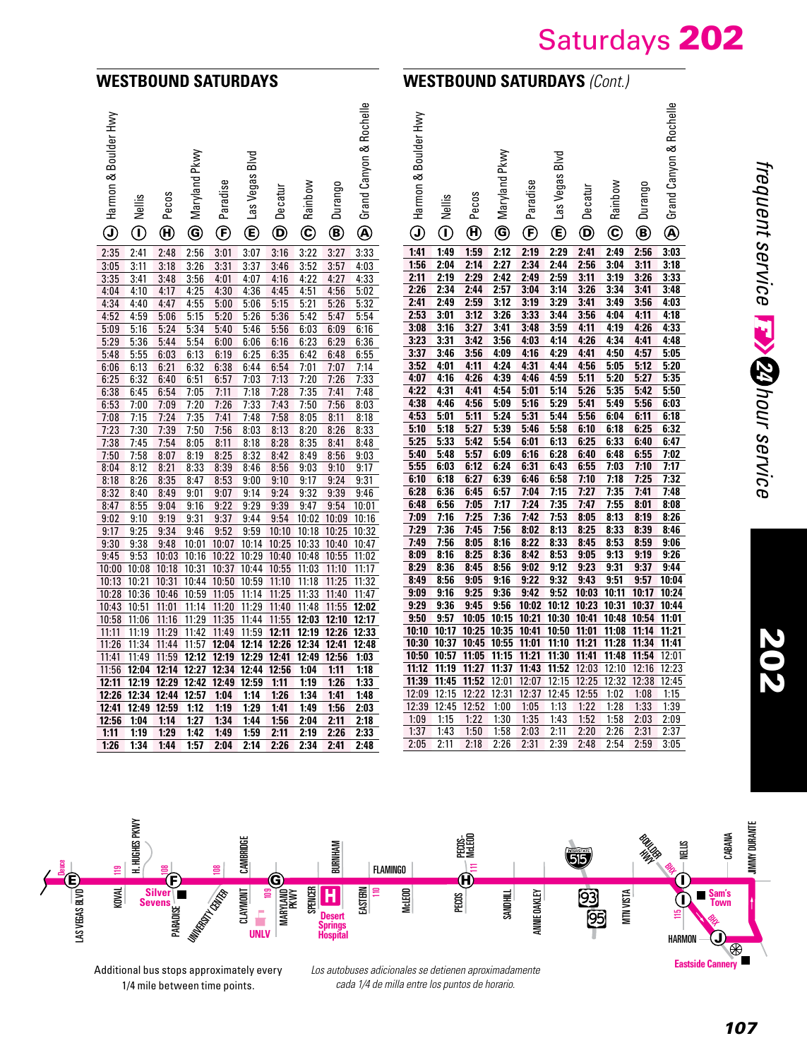#### **WESTBOUND SATURDAYS**

## **WESTBOUND SATURDAYS** *(Cont.)*

Saturdays 202

| (→ Harmon & Boulder Hwy | Nellis<br>$\hspace{0.5pt} \textcircled{\scriptsize{1}}$ | Pecos<br>$\mathbf \Theta$ | Maryland Pkwy<br>$\circledcirc$ | Paradise<br>$\mathbf{\widehat{E}}$ | Blvd<br><b>M</b> Las Vegas | Decatur<br>$\bf \Phi$ | Rainbow<br>$\overline{\mathbf{C}}$ | Durango<br>$^{\circledR}$ | Grand Canyon & Rochelle<br>$\overline{\mathbf{A}}$ | ŽΜ<br>Harmon & Boulder<br>$\odot$ | Nellis<br>$\overline{\mathbf{0}}$ |
|-------------------------|---------------------------------------------------------|---------------------------|---------------------------------|------------------------------------|----------------------------|-----------------------|------------------------------------|---------------------------|----------------------------------------------------|-----------------------------------|-----------------------------------|
| 2:35                    | 2:41                                                    | 2:48                      | 2:56                            | 3:01                               | 3:07                       | 3:16                  | 3:22                               | 3:27                      | 3:33                                               | 1:41                              | 1:49                              |
| 3:05                    | 3:11                                                    | 3:18                      | 3:26                            | 3:31                               | 3:37                       | 3:46                  | 3:52                               | 3:57                      | 4:03                                               | 1:56                              | 2:04                              |
| 3:35                    | 3:41                                                    | 3:48                      | 3:56                            | 4:01                               | 4:07                       | 4:16                  | 4:22                               | 4:27                      | 4:33                                               | 2:11                              | 2:19                              |
| 4:04                    | 4:10                                                    | 4:17                      | 4:25                            | 4:30                               | 4:36                       | 4:45                  | 4:51                               | 4:56                      | 5:02                                               | 2:26                              | 2:34                              |
| 4:34                    | 4:40                                                    | 4:47                      | 4:55                            | 5:00                               | 5:06                       | 5:15                  | 5:21                               | 5:26                      | 5:32                                               | 2:41                              | 2:49                              |
| 4:52                    | 4:59                                                    | 5:06                      | 5:15                            | 5:20                               | 5:26                       | 5:36                  | 5:42                               | 5:47                      | 5:54                                               | 2:53                              | 3:01                              |
| 5:09                    | 5:16                                                    | 5:24                      | 5:34                            | 5:40                               | 5:46                       | 5:56                  | 6:03                               | 6:09                      | 6:16                                               | 3:08                              | 3:16                              |
| 5:29                    | 5:36                                                    | 5:44                      | 5:54                            | 6:00                               | 6:06                       | 6:16                  | 6:23                               | 6:29                      | 6:36                                               | 3:23                              | 3:31                              |
| 5:48                    | 5:55                                                    | 6:03                      | 6:13                            | 6:19                               | 6:25                       | 6:35                  | 6:42                               | 6:48                      | 6:55                                               | 3:37                              | 3:46                              |
| 6:06                    | 6:13                                                    | 6:21                      | 6:32                            | 6:38                               | 6:44                       | 6:54                  | 7:01                               | 7:07                      | 7:14                                               | 3:52                              | 4:01                              |
| 6:25                    | 6:32                                                    | 6:40                      | 6:51                            | 6:57                               | 7:03                       | 7:13                  | 7:20                               | 7:26                      | 7:33                                               | 4:07                              | 4:16                              |
| 6:38                    | 6:45                                                    | 6:54                      | 7:05                            | 7:11                               | 7:18                       | 7:28                  | 7:35                               | 7:41                      | 7:48                                               | 4:22                              | 4:31                              |
| 6:53                    | 7:00                                                    | 7:09                      | 7:20                            | 7:26                               | 7:33                       | 7:43                  | 7:50                               | 7:56                      | 8:03                                               | 4:38                              | 4:46                              |
| 7:08                    | 7:15                                                    | 7:24                      | 7:35                            | 7:41                               | 7:48                       | 7:58                  | 8:05                               | 8:11                      | 8:18                                               | 4:53                              | 5:01                              |
| 7:23                    | 7:30                                                    | 7:39                      | 7:50                            | 7:56                               | 8:03                       | 8:13                  | 8:20                               | 8:26                      | 8:33                                               | 5:10                              | 5:18                              |
| 7:38                    | 7:45                                                    | 7:54                      | 8:05                            | 8:11                               | 8:18                       | 8:28                  | 8:35                               | 8:41                      | 8:48                                               | 5:25                              | 5:33                              |
| 7:50                    | 7:58                                                    | 8:07                      | 8:19                            | 8:25                               | 8:32                       | 8:42                  | 8:49                               | 8:56                      | 9:03                                               | 5:40                              | 5:48                              |
| 8:04                    | 8:12                                                    | 8:21                      | 8:33                            | 8:39                               | 8:46                       | 8:56                  | 9:03                               | 9:10                      | 9:17                                               | 5:55                              | 6:03                              |
| 8:18                    | 8:26                                                    | 8:35                      | 8:47                            | 8:53                               | 9:00                       | 9:10                  | 9:17                               | 9:24                      | 9:31                                               | 6:10                              | 6:18                              |
| 8:32                    | 8:40                                                    | 8:49                      | 9:01                            | 9:07                               | 9:14                       | 9:24                  | 9:32                               | 9:39                      | 9:46                                               | 6:28                              | 6:36                              |
| 8:47                    | 8:55                                                    | 9:04                      | 9:16                            | 9:22                               | 9:29                       | 9:39                  | 9:47                               | 9:54                      | 10:01                                              | 6:48                              | 6:56                              |
| 9:02                    | 9:10                                                    | 9:19                      | 9:31                            | 9:37                               | 9:44                       | 9:54                  | 10:02                              | 10:09                     | 10:16                                              | 7:09                              | 7:16                              |
| 9:17                    | 9:25                                                    | 9:34                      | 9:46                            | 9:52                               | 9:59                       | 10:10                 | 10:18                              | 10:25                     | 10:32                                              | 7:29                              | 7:36                              |
| 9:30                    | 9:38                                                    | 9:48                      | 10:01                           | 10:07                              | 10:14                      | 10:25                 | 10:33                              | 10:40                     | 10:47                                              | 7:49                              | 7:56                              |
| 9:45                    | 9:53                                                    | 10:03                     | 10:16                           | 10:22                              | 10:29                      | 10:40                 | 10:48                              | 10:55                     | 11:02                                              | 8:09                              | 8:16                              |
| 10:00                   | 10:08                                                   | 10:18                     | 10:31                           | 10:37                              | 10:44                      | 10:55                 | 11:03                              | 11:10                     | 11:17                                              | 8:29                              | 8:36                              |
| 10:13                   | 10:21                                                   | 10:31                     | 10:44                           | 10:50                              | 10:59                      | 11:10                 | 11:18                              | 11:25                     | 11:32                                              | 8:49                              | 8:56                              |
| 10:28                   | 10:36                                                   | 10:46                     | 10:59                           | 11:05                              | 11:14                      | 11:25                 | 11:33                              | 11:40                     | 11:47                                              | 9:09                              | 9:16                              |
| 10:43                   | 10:51                                                   | 11:01                     | 11:14                           | 11:20                              | 11:29                      | 11:40                 | 11:48                              | 11:55                     | 12:02                                              | 9:29                              | 9:36<br>9:57                      |
| 10:58                   | 11:06                                                   | 11:16                     | 11:29                           | 11:35                              | 11:44                      | 11:55                 | 12:03                              | 12:10                     | 12:17                                              | 9:50                              |                                   |
| 11:11                   | 11:19                                                   | 11:29                     | 11:42                           | 11:49                              | 11:59                      | 12:11                 | 12:19                              | 12:26                     | 12:33                                              | 10:10<br>10:30                    | 10:17<br>10:37                    |
| 11:26                   | 11:34                                                   | 11:44                     | 11:57                           | 12:04                              | 12:14                      | 12:26                 | 12:34                              | 12:41                     | 12:48                                              | 10:50                             |                                   |
| 11:41                   | 11:49                                                   | 11:59                     | 12:12                           | 12:19                              | 12:29                      | 12:41                 | 12:49                              | 12:56                     | 1:03                                               | 11:12                             | 10:57<br>11:19                    |
| 11:56                   | 12:04                                                   | 12:14<br>12:29            | 12:27                           | 12:34<br>12:49                     | 12:44                      | 12:56                 | 1:04                               | 1:11                      | 1:18                                               | 11:39                             | 11:45                             |
| 12:11<br>12:26          | 12:19<br>12:34                                          |                           | 12:42<br>12:57                  |                                    | 12:59                      | 1:11                  | 1:19<br>1:34                       | 1:26                      | 1:33                                               | 12:09                             | 12:15                             |
| 12:41                   | 12:49                                                   | 12:44<br>12:59            | 1:12                            | 1:04<br>1:19                       | 1:14<br>1:29               | 1:26<br>1:41          | 1:49                               | 1:41<br>1:56              | 1:48<br>2:03                                       | 12:39                             | 12:45                             |
| 12:56                   | 1:04                                                    | 1:14                      | 1:27                            | 1:34                               | 1:44                       | 1:56                  | 2:04                               | 2:11                      | 2:18                                               | 1:09                              | 1:15                              |
| 1:11                    | 1:19                                                    | 1:29                      | 1:42                            | 1:49                               | 1:59                       | 2:11                  | 2:19                               | 2:26                      | 2:33                                               | 1:37                              | 1:43                              |
| 1:26                    | 1:34                                                    | 1:44                      | 1:57                            | 2:04                               | 2:14                       | 2:26                  | 2:34                               | 2:41                      | 2:48                                               | 2:05                              | 2:11                              |
|                         |                                                         |                           |                                 |                                    |                            |                       |                                    |                           |                                                    |                                   |                                   |

| $\geq$<br>Harmon & Boulder | Nellis            | Pecos          | Maryland Pkwy | Paradise            | Blvd<br>vegas<br>$\frac{25}{25}$ | Decatur                  | Rainbow         | Durango      | Grand Canyon & Rochelle |
|----------------------------|-------------------|----------------|---------------|---------------------|----------------------------------|--------------------------|-----------------|--------------|-------------------------|
| $\odot$                    | ⋒                 | $^{\circledR}$ | $\circledS$   | $\bf (\widehat{F})$ | œ)                               | $\ddot{\mathbf{\Theta}}$ | $^{\copyright}$ | ◉            | $\overline{\mathbf{Q}}$ |
| 1:41                       | 1:49              | 1:59           | 2:12          | 2:19                | 2:29                             | 2:41                     | 2:49            | 2:56         | 3:03                    |
| 1:56                       | 2:04              | 2:14           | 2:27          | 2:34                | 2:44                             | 2:56                     | 3:04            | 3:11         | 3:18                    |
| 2:11                       | 2:19              | 2:29           | 2:42          | 2:49                | 2:59                             | 3:11                     | 3:19            | 3:26         | 3:33                    |
| 2:26                       | 2:34              | 2:44           | 2:57          | 3:04                | 3:14                             | 3:26                     | 3:34            | 3:41         | 3:48                    |
| 2:41                       | 2:49              | 2:59           | 3:12          | 3:19                | 3:29                             | 3:41                     | 3:49            | 3:56         | 4:03                    |
| 2:53                       | 3:01              | 3:12           | 3:26          | 3:33                | 3:44                             | 3:56                     | 4:04            | 4:11         | 4:18                    |
| 3:08                       | 3:16              | 3:27           | 3:41          | 3:48                | 3:59                             | 4:11                     | 4:19            | 4:26         | 4:33                    |
| 3:23                       | 3:31              | 3:42           | 3:56          | 4:03                | 4:14                             | 4:26                     | 4:34            | 4:41         | 4:48                    |
| 3:37                       | 3:46              | 3:56           | 4:09          | 4:16                | 4:29                             | 4:41                     | 4:50            | 4:57         | 5:05                    |
| 3:52                       | 4:01              | 4:11           | 4:24          | 4:31                | 4:44                             | 4:56                     | 5:05            | 5:12         | 5:20                    |
| 4:07                       | 4:16              | 4:26           | 4:39          | 4:46                | 4:59                             | 5:11                     | 5:20            | 5:27         | 5:35                    |
| 4:22                       | 4:31              | 4:41           | 4:54          | 5:01                | 5:14                             | 5:26                     | 5:35            | 5:42         | 5:50                    |
| 4:38                       | 4:46              | 4:56           | 5:09          | 5:16                | 5:29<br>5:44                     | 5:41                     | 5:49            | 5:56         | 6:03                    |
| 4:53<br>5:10               | 5:01<br>5:18      | 5:11<br>5:27   | 5:24<br>5:39  | 5:31<br>5:46        | 5:58                             | 5:56<br>6:10             | 6:04<br>6:18    | 6:11<br>6:25 | 6:18<br>6:32            |
| 5:25                       | 5:33              | 5:42           | 5:54          | 6:01                | 6:13                             | 6:25                     | 6:33            | 6:40         | 6:47                    |
| 5:40                       | 5:48              | 5:57           | 6:09          | 6:16                | 6:28                             | 6:40                     | 6:48            | 6:55         | 7:02                    |
| 5:55                       | 6:03              | 6:12           | 6:24          | 6:31                | 6:43                             | 6:55                     | 7:03            | 7:10         | 7:17                    |
| 6:10                       | 6:18              | 6:27           | 6:39          | 6:46                | 6:58                             | 7:10                     | 7:18            | 7:25         | 7:32                    |
| 6:28                       | 6:36              | 6:45           | 6:57          | 7:04                | 7:15                             | 7:27                     | 7:35            | 7:41         | 7:48                    |
| 6:48                       | 6:56              | 7:05           | 7:17          | 7:24                | 7:35                             | 7:47                     | 7:55            | 8:01         | 8:08                    |
| 7:09                       | 7:16              | 7:25           | 7:36          | 7:42                | 7:53                             | 8:05                     | 8:13            | 8:19         | 8:26                    |
| 7:29                       | $\overline{7:36}$ | 7:45           | 7:56          | 8:02                | 8:13                             | 8:25                     | 8:33            | 8:39         | 8:46                    |
| 7:49                       | 7:56              | 8:05           | 8:16          | 8:22                | 8:33                             | 8:45                     | 8:53            | 8:59         | 9:06                    |
| 8:09                       | 8:16              | 8:25           | 8:36          | 8:42                | 8:53                             | 9:05                     | 9:13            | 9:19         | 9:26                    |
| 8:29                       | 8:36              | 8:45           | 8:56          | 9:02                | 9:12                             | 9:23                     | 9:31            | 9:37         | 9:44                    |
| 8:49                       | 8:56              | 9:05           | 9:16          | 9:22                | 9:32                             | 9:43                     | 9:51            | 9:57         | 10:04                   |
| 9:09                       | 9:16              | 9:25           | 9:36          | 9:42                | 9:52                             | 10:03                    | 10:11           | 10:17        | 10:24                   |
| 9:29                       | 9:36              | 9:45           | 9:56          | 10:02               | 10:12                            | 10:23                    | 10:31           | 10:37        | 10:44                   |
| 9:50                       | 9:57              | 10:05          | 10:15         | 10:21               | 10:30                            | 10:41                    | 10:48           | 10:54        | 11:01                   |
| 10:10                      | 10:17             | 10:25          | 10:35         | 10:41               | 10:50                            | 11:01                    | 11:08           | 11:14        | 11:21                   |
| 10:30                      | 10:37             | 10:45          | 10:55         | 11:01               | 11:10                            | 11:21                    | 11:28           | 11:34        | 11:41                   |
| 10:50                      | 10:57             | 11:05          | 11:15         | 11:21               | 11:30                            | 11:41                    | 11:48           | 11:54        | 12:01                   |
| 11:12                      | 11:19             | 11:27          | 11:37         | 11:43               | 11:52                            | 12:03                    | 12:10           | 12:16        | 12:23                   |
| 11:39                      | 11:45             | 11:52          | 12:01         | 12:07               | 12:15                            | 12:25                    | 12:32           | 12:38        | 12:45                   |
| 12:09                      | 12:15             | 12:22          | 12:31         | 12:37               | 12:45                            | 12:55                    | 1:02            | 1:08         | 1:15                    |
| 12:39                      | 12:45             | 12:52          | 1:00          | 1:05                | 1:13                             | 1:22                     | 1:28            | 1:33         | 1:39                    |
| 1:09                       | 1:15              | 1:22           | 1:30          | 1:35                | 1:43                             | 1:52                     | 1:58            | 2:03         | 2:09                    |
| 1:37                       | 1:43              | 1:50           | 1:58          | 2:03                | 2:11                             | 2:20                     | 2:26            | 2:31         | 2:37                    |
| 2:05                       | 2:11              | 2:18           | 2:26          | 2:31                | 2:39                             | 2:48                     | 2:54            | 2:59         | 3:05                    |



Additional bus stops approximately every 1/4 mile between time points.

*Los autobuses adicionales se detienen aproximadamente cada 1/4 de milla entre los puntos de horario.*

202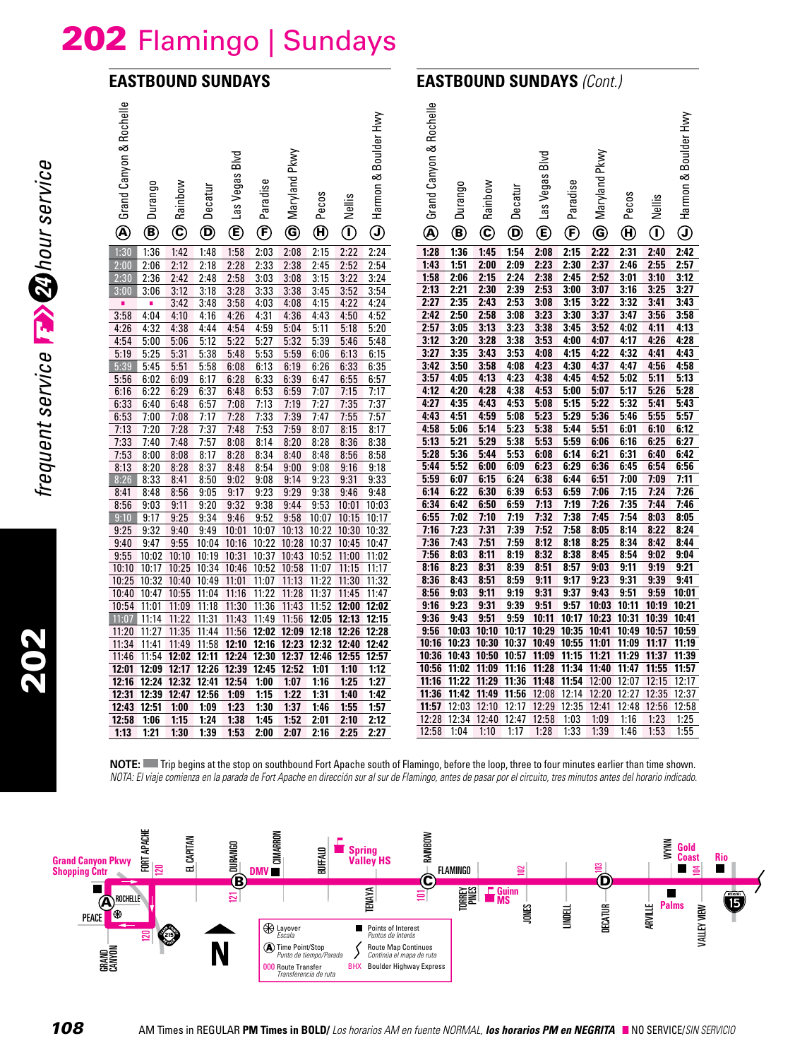# 202 Flamingo | Sundays

#### **EASTBOUND SUNDAYS**

### **EASTBOUND SUNDAYS** *(Cont.)*

| Grand Canyon & Rochelle<br>$^{\circledR}$ | Durango<br>◉                                                | Rainbow<br>$^\copyright$ | Decatur<br>$^\copyright$ | Blvd<br>Las Vegas<br>$^\copyright$                                                                 | Paradise<br>$^{\circledR}$ | Pkwy<br>Maryland<br>$\circledcirc$ | Pecos<br>$\boldsymbol{\textcircled{\text{H}}}$ | Nellis<br>$^\copyright$ | Boulder Hwy<br>∞<br>Harmon<br>$\textcircled{\scriptsize{1}}$ | Grand Canyon & Rochelle<br>$^{\circledR}$ | Durango<br>◉      | Rainbow<br>$\copyright$ | Decatur<br>◉ | Blvd<br>Las Vegas<br>$^{\circledR}$ | Paradise<br>$^\circled{\textbf{F}}$ | Pkwy<br>Maryland<br>$\circledS$ | Pecos<br>$\boldsymbol{\Theta}$ | Nellis<br>$\hspace{0.5pt} \textcircled{\scriptsize{1}}$ | Harmon & Boulder Hwy<br>$_{\textcircled{\scriptsize{1}}}$ |
|-------------------------------------------|-------------------------------------------------------------|--------------------------|--------------------------|----------------------------------------------------------------------------------------------------|----------------------------|------------------------------------|------------------------------------------------|-------------------------|--------------------------------------------------------------|-------------------------------------------|-------------------|-------------------------|--------------|-------------------------------------|-------------------------------------|---------------------------------|--------------------------------|---------------------------------------------------------|-----------------------------------------------------------|
| 1:30                                      | 1:36                                                        | 1:42                     | 1:48                     | 1:58                                                                                               | 2:03                       | 2:08                               | 2:15                                           | 2:22                    | 2:24                                                         | 1:28                                      | 1:36              | 1:45                    | 1:54         | 2:08                                | 2:15                                | 2:22                            | 2:31                           | 2:40                                                    | 2:42                                                      |
| 2:00                                      | 2:06                                                        | 2:12                     | 2:18                     | 2:28                                                                                               | 2:33                       | 2:38                               | 2:45                                           | 2:52                    | 2:54                                                         | 1:43                                      | 1:51              | 2:00                    | 2:09         | 2.23                                | 2:30                                | 2:37                            | 2:46                           | 2:55                                                    | 2:57                                                      |
| 2:30                                      | 2:36                                                        | 2:42                     | 2:48                     | 2:58                                                                                               | 3:03                       | 3:08                               | 3:15                                           | 3:22                    | 3:24                                                         | 1:58                                      | 2:06              | 2:15                    | 2:24         | 2:38                                | 2:45                                | 2:52                            | 3:01                           | 3:10                                                    | 3:12                                                      |
| 3:00                                      | 3:06                                                        | 3:12                     | 3:18                     | 3:28                                                                                               | 3:33                       | 3:38                               | 3:45                                           | 3:52                    | 3:54                                                         | 2:13                                      | 2:21              | 2:30                    | 2:39         | 2:53                                | 3:00                                | 3:07                            | 3:16                           | 3:25                                                    | 3:27                                                      |
| ٠                                         | ٠                                                           | 3:42                     | 3:48                     | 3:58                                                                                               | 4:03                       | 4:08                               | 4:15                                           | 4:22                    | 4:24                                                         | 2.27                                      | 2:35              | 2:43                    | 2:53         | 3:08                                | 3:15                                | 3:22                            | 3:32                           | 3:41                                                    | 3:43                                                      |
| 3:58                                      | 4:04                                                        | 4:10                     | 4:16                     | 4:26                                                                                               | 4:31                       | 4:36                               | 4:43                                           | 4:50                    | 4:52                                                         | 2:42                                      | 2:50              | 2:58                    | 3:08         | 3:23                                | 3:30                                | 3:37                            | 3:47                           | 3:56                                                    | 3:58                                                      |
| 4:26                                      | 4:32                                                        | 4:38                     | 4:44                     | 4:54                                                                                               | 4:59                       | 5:04                               | 5:11                                           | 5:18                    | 5:20                                                         | 2:57                                      | 3:05              | 3:13                    | 3:23         | 3:38                                | 3:45                                | 3:52                            | 4:02                           | 4:11                                                    | 4:13                                                      |
| 4:54                                      | 5:00                                                        | 5:06                     | 5:12                     | 5:22                                                                                               | 5:27                       | 5:32                               | 5:39                                           | 5:46                    | 5:48                                                         | 3:12                                      | 3:20              | 3:28                    | 3:38         | 3:53                                | 4:00                                | 4:07                            | 4:17                           | 4:26                                                    | 4:28                                                      |
| 5:19                                      | 5:25                                                        | 5:31                     | 5:38                     | 5:48                                                                                               | 5:53                       | 5:59                               | 6:06                                           | 6:13                    | 6:15                                                         | 3:27                                      | 3:35              | 3:43                    | 3:53         | 4:08                                | 4:15                                | 4:22                            | 4:32                           | 4:41                                                    | 4:43                                                      |
| 5:39                                      | 5:45                                                        | 5:51                     | 5:58                     | 6:08                                                                                               | 6:13                       | 6:19                               | 6:26                                           | 6:33                    | 6:35                                                         | 3:42                                      | 3:50              | 3:58                    | 4:08         | 4:23                                | 4:30                                | 4:37                            | 4:47                           | 4:56                                                    | 4:58                                                      |
| 5:56                                      | 6:02                                                        | 6:09                     | 6:17                     | 6:28                                                                                               | 6:33                       | 6:39                               | 6:47                                           | 6:55                    | 6:57                                                         | 3:57                                      | 4:05              | 4:13                    | 4:23         | 4:38                                | 4:45                                | 4:52                            | 5:02                           | 5:11                                                    | 5:13                                                      |
| 6:16                                      | 6:22                                                        | 6:29                     | 6:37                     | 6:48                                                                                               | 6:53                       | 6:59                               | 7:07                                           | 7:15                    | 7:17                                                         | 4:12                                      | 4:20              | 4:28                    | 4:38         | 4:53                                | 5:00                                | 5:07                            | 5:17                           | 5:26                                                    | 5:28                                                      |
| 6:33                                      | 6:40                                                        | 6:48                     | 6:57                     | 7:08                                                                                               | 7:13                       | 7:19                               | 7:27                                           | 7:35                    | 7:37                                                         | 4:27                                      | 4:35              | 4:43                    | 4:53         | 5:08                                | 5:15                                | 5:22                            | 5:32                           | 5:41                                                    | 5:43                                                      |
| 6:53                                      | 7:00                                                        | 7:08                     | 7:17                     | 7:28                                                                                               | 7:33                       | 7:39                               | 7:47                                           | 7:55                    | 7:57                                                         | 4:43                                      | 4:51              | 4:59                    | 5:08         | 5:23                                | 5:29                                | 5:36                            | 5:46                           | 5:55                                                    | 5:57                                                      |
| 7:13                                      | 7:20                                                        | 7:28                     | 7:37                     | 7:48                                                                                               | 7:53                       | 7:59                               | 8:07                                           | 8:15                    | 8:17                                                         | 4:58                                      | 5:06              | 5:14                    | 5:23         | 5:38                                | 5:44                                | 5:51                            | 6:01                           | 6:10                                                    | 6:12                                                      |
| 7:33                                      | 7:40                                                        | 7:48                     | 7:57                     | 8:08                                                                                               | 8:14                       | 8:20                               | 8:28                                           | 8:36                    | 8:38                                                         | 5:13                                      | 5:21              | 5:29                    | 5:38         | 5:53                                | 5:59                                | 6:06                            | 6:16                           | 6:25                                                    | 6:27                                                      |
| 7:53                                      | 8:00                                                        | 8:08                     | 8:17                     | 8:28                                                                                               | 8:34                       | 8:40                               | 8:48                                           | 8:56                    | 8:58                                                         | 5:28                                      | 5:36              | 5:44                    | 5:53         | 6:08                                | 6:14                                | 6:21                            | 6:31                           | 6:40                                                    | 6:42                                                      |
| 8:13                                      | 8:20                                                        | 8:28                     | 8:37                     | 8:48                                                                                               | 8:54                       | 9:00                               | 9:08                                           | 9:16                    | 9:18                                                         | 5:44                                      | 5:52              | 6:00                    | 6:09         | 6:23                                | 6:29                                | 6:36                            | 6:45                           | 6:54                                                    | 6:56                                                      |
| 8:26                                      | 8:33                                                        | 8:41                     | 8:50                     | 9:02                                                                                               | 9:08                       | 9:14                               | 9:23                                           | 9:31                    | 9:33                                                         | 5:59                                      | 6:07              | 6:15                    | 6:24         | 6:38                                | 6:44                                | 6:51                            | 7:00                           | 7:09                                                    | 7:11                                                      |
| 8:41                                      | 8:48                                                        | 8:56                     | 9:05                     | 9:17                                                                                               | 9:23                       | 9:29                               | 9:38                                           | 9:46                    | 9:48                                                         | 6:14                                      | 6:22              | 6:30                    | 6:39         | 6:53                                | 6:59                                | 7:06                            | 7:15                           | 7:24                                                    | 7:26                                                      |
| 8:56                                      | 9:03                                                        | 9:11                     | 9:20                     | 9:32                                                                                               | 9:38                       | 9:44                               | 9:53                                           |                         | 10:01 10:03                                                  | 6:34                                      | 6:42              | 6:50                    | 6:59         | 7:13                                | 7:19                                | 7:26                            | 7:35                           | 7:44                                                    | 7:46                                                      |
| 9:10                                      | 9:17                                                        | 9:25                     | 9:34                     | 9:46                                                                                               | 9:52                       | 9:58                               | 10:07                                          | 10:15                   | 10:17                                                        | 6:55                                      | 7:02              | 7:10                    | 7:19         | 7:32                                | 7:38                                | 7:45                            | 7:54                           | 8:03                                                    | 8:05                                                      |
| 9:25                                      | 9:32                                                        | 9:40                     | 9:49                     | 10:01 10:07 10:13 10:22 10:30 10:32                                                                |                            |                                    |                                                |                         |                                                              | 7:16                                      | 7:23              | 7:31                    | 7:39         | 7:52                                | 7:58                                | 8:05                            | 8:14                           | 8:22                                                    | 8:24                                                      |
| 9:40                                      | 9:47                                                        | 9:55                     |                          | 10:04 10:16 10:22 10:28 10:37 10:45                                                                |                            |                                    |                                                |                         | 10:47                                                        | 7:36                                      | 7:43              | 7.51                    | 7:59         | 8:12                                | 8:18                                | 8:25                            | 8:34                           | 8:42                                                    | 8:44                                                      |
| 9:55                                      |                                                             |                          |                          | 10:02 10:10 10:19 10:31 10:37 10:43 10:52 11:00 11:02                                              |                            |                                    |                                                |                         |                                                              | 7.56<br>8:16                              | 8:03<br>8:23      | 8:11<br>8:31            | 8:19<br>8:39 | 8:32<br>8:51                        | 8:38<br>8:57                        | 8:45<br>9:03                    | 8:54<br>9:11                   | 9:02<br>9:19                                            | 9:04<br>9:21                                              |
| 10:10<br>10:25                            |                                                             |                          |                          | 10:17 10:25 10:34 10:46 10:52 10:58 11:07 11:15<br>10:32 10:40 10:49 11:01 11:07 11:13 11:22 11:30 |                            |                                    |                                                |                         | 11:17                                                        | 8:36                                      | 8:43              | 8:51                    | 8:59         | 9:11                                | 9:17                                | 9:23                            | 9:31                           | 9:39                                                    | 9:41                                                      |
| 10:40                                     | 10:47 10:55 11:04 11:16                                     |                          |                          |                                                                                                    | 11:22 11:28                |                                    | 11:37                                          | 11:45                   | 11:32<br>11:47                                               | 8:56                                      | 9:03              | 9:11                    | 9:19         | 9:31                                | 9:37                                | 9:43                            | 9:51                           | 9:59                                                    | 10:01                                                     |
|                                           | 10:54 11:01 11:09 11:18 11:30 11:36 11:43 11:52 12:00 12:02 |                          |                          |                                                                                                    |                            |                                    |                                                |                         |                                                              | 9:16                                      | 9:23              | 9:31                    | 9:39         | 9:51                                | 9:57                                | 10:03 10:11                     |                                | 10:19 10:21                                             |                                                           |
| 11:07                                     |                                                             |                          |                          | 11:14 11:22 11:31 11:43 11:49 11:56 12:05 12:13 12:15                                              |                            |                                    |                                                |                         |                                                              | 9:36                                      | 9:43              | 9:51                    | 9:59         |                                     |                                     |                                 |                                | 10:11 10:17 10:23 10:31 10:39 10:41                     |                                                           |
|                                           | 11:20 11:27 11:35 11:44 11:56 12:02 12:09 12:18 12:26 12:28 |                          |                          |                                                                                                    |                            |                                    |                                                |                         |                                                              | 9:56                                      | 10:03             | 10:10                   | 10:17        | 10:29 10:35                         |                                     |                                 |                                | 10:41 10:49 10:57 10:59                                 |                                                           |
| 11:34                                     |                                                             |                          |                          | 11:41 11:49 11:58 12:10 12:16 12:23 12:32 12:40 12:42                                              |                            |                                    |                                                |                         |                                                              | 10:16 10:23                               |                   | 10:30                   |              |                                     |                                     | 10:37 10:49 10:55 11:01 11:09   |                                | 11:17 11:19                                             |                                                           |
|                                           | 11:46 11:54 12:02 12:11 12:24 12:30 12:37 12:46 12:55 12:57 |                          |                          |                                                                                                    |                            |                                    |                                                |                         |                                                              |                                           | 10:36 10:43 10:50 |                         |              | 10:57 11:09 11:15                   |                                     | 11:21 11:29                     |                                | 11:37 11:39                                             |                                                           |
|                                           | 12:01 12:09 12:17 12:26 12:39 12:45 12:52                   |                          |                          |                                                                                                    |                            |                                    | 1:01                                           | 1:10                    | 1:12                                                         |                                           | 10:56 11:02 11:09 |                         | 11:16        | 11:28 11:34                         |                                     |                                 |                                | 11:40 11:47 11:55 11:57                                 |                                                           |
|                                           | 12:16 12:24 12:32 12:41 12:54                               |                          |                          |                                                                                                    | 1:00                       | 1:07                               | 1:16                                           | 1:25                    | 1:27                                                         | 11:16                                     | 11:22             | 11:29 11:36             |              | 11:48 11:54                         |                                     | 12:00 12:07                     |                                | 12:15                                                   | 12:17                                                     |
|                                           | 12:31 12:39 12:47 12:56                                     |                          |                          | 1:09                                                                                               | 1:15                       | 1:22                               | 1:31                                           | 1:40                    | 1:42                                                         | 11:36                                     | 11:42             | 11:49                   | 11:56        | 12:08 12:14                         |                                     | 12:20                           | 12:27                          | 12:35                                                   | 12:37                                                     |
|                                           | 12:43 12:51 1:00                                            |                          | 1:09                     | 1:23                                                                                               | 1:30                       | 1:37                               | 1:46                                           | 1:55                    | 1:57                                                         | 11:57                                     | 12:03             | 12:10                   | 12:17        | 12:29 12:35                         |                                     | 12:41                           | 12:48                          | 12:56                                                   | 12:58                                                     |
| 12:58                                     | 1:06                                                        | 1:15                     | 1:24                     | 1:38                                                                                               | 1:45                       | 1:52                               | 2:01                                           | 2:10                    | 2:12                                                         |                                           | 12:28 12:34 12:40 |                         | 12:47        | 12:58 1:03                          |                                     | 1:09                            | 1:16                           | 1:23                                                    | 1:25                                                      |
| 1:13                                      | 1:21                                                        | 1:30                     | 1:39                     | 1:53                                                                                               | 2:00                       | 2:07                               | 2:16                                           | 2:25                    | 2:27                                                         | 12:58                                     | 1:04              | 1:10                    | 1:17         | 1:28                                | 1:33                                | 1:39                            | 1:46                           | 1:53                                                    | 1:55                                                      |

**NOTE:** Trip begins at the stop on southbound Fort Apache south of Flamingo, before the loop, three to four minutes earlier than time shown. *NOTA: El viaje comienza en la parada de Fort Apache en dirección sur al sur de Flamingo, antes de pasar por el circuito, tres minutos antes del horario indicado.*